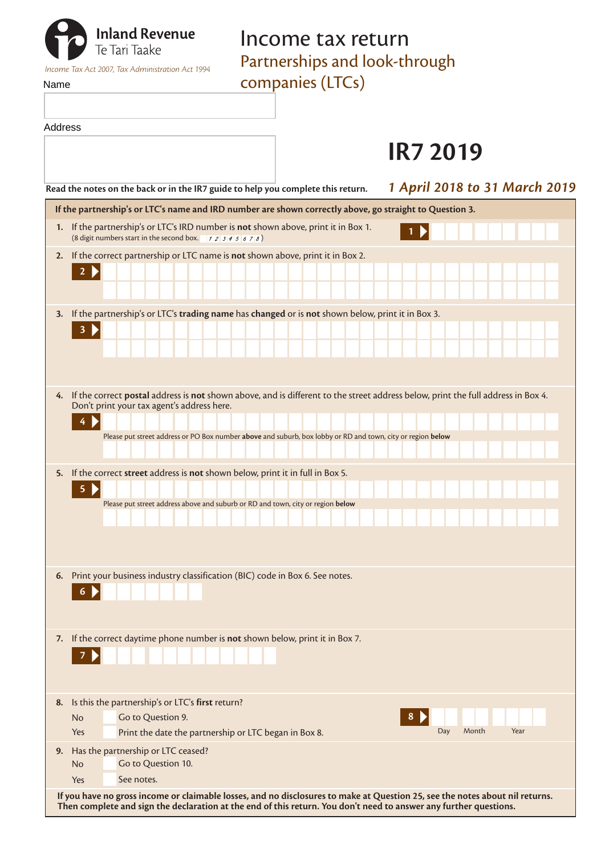| <b>The Tari Taake</b>                                           | Income tax return             |  |
|-----------------------------------------------------------------|-------------------------------|--|
|                                                                 | Partnerships and look-through |  |
| Income Tax Act 2007. Tax Administration Act 1994<br><b>Name</b> | companies (LTCs)              |  |

Address

companies (LTCs) **IR7 2019 Read the notes on the back or in the IR7 guide to help you complete this return.** *1 April 2018 to 31 March 2019* **If the partnership's or LTC's name and IRD number are shown correctly above, go straight to Question 3. 1.** If the partnership's or LTC's IRD number is **not** shown above, print it in Box 1. **1** (8 digit numbers start in the second box. ) **2.** If the correct partnership or LTC name is **not** shown above, print it in Box 2. ٠ ٠ ٠

|    | $\overline{2}$                                                                                                                                                                                                                                                                                   |  |  |  |  |
|----|--------------------------------------------------------------------------------------------------------------------------------------------------------------------------------------------------------------------------------------------------------------------------------------------------|--|--|--|--|
| 3. | If the partnership's or LTC's trading name has changed or is not shown below, print it in Box 3.<br>$\overline{\mathbf{3}}$                                                                                                                                                                      |  |  |  |  |
|    | 4. If the correct postal address is not shown above, and is different to the street address below, print the full address in Box 4.<br>Don't print your tax agent's address here.<br>Please put street address or PO Box number above and suburb, box lobby or RD and town, city or region below |  |  |  |  |
|    | 5. If the correct street address is not shown below, print it in full in Box 5.<br>$\overline{\mathbf{5}}$<br>Please put street address above and suburb or RD and town, city or region below                                                                                                    |  |  |  |  |
| 6. | Print your business industry classification (BIC) code in Box 6. See notes.<br>6                                                                                                                                                                                                                 |  |  |  |  |
| 7. | If the correct daytime phone number is not shown below, print it in Box 7.                                                                                                                                                                                                                       |  |  |  |  |
| 8. | Is this the partnership's or LTC's first return?<br>8<br>Go to Question 9.<br>No<br>Day<br>Month<br>Year<br>Print the date the partnership or LTC began in Box 8.<br>Yes                                                                                                                         |  |  |  |  |
| 9. | Has the partnership or LTC ceased?<br>Go to Question 10.<br><b>No</b><br>See notes.<br>Yes                                                                                                                                                                                                       |  |  |  |  |
|    | If you have no gross income or claimable losses, and no disclosures to make at Question 25, see the notes about nil returns.                                                                                                                                                                     |  |  |  |  |

**Then complete and sign the declaration at the end of this return. You don't need to answer any further questions.**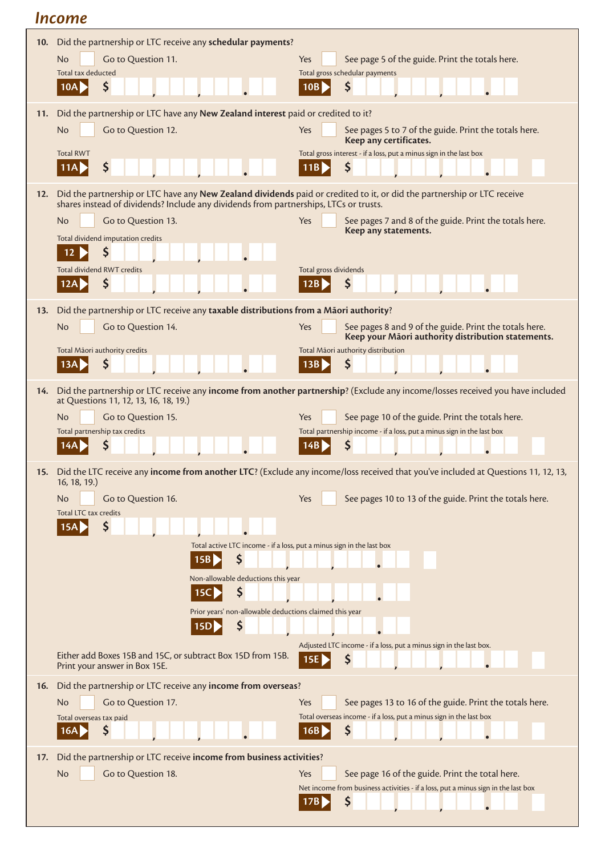# *Income*

| 10. | Did the partnership or LTC receive any schedular payments?                                                                                                                                                       |                                                                                                                                             |  |
|-----|------------------------------------------------------------------------------------------------------------------------------------------------------------------------------------------------------------------|---------------------------------------------------------------------------------------------------------------------------------------------|--|
|     | Go to Question 11.<br><b>No</b><br>Total tax deducted                                                                                                                                                            | Yes<br>See page 5 of the guide. Print the totals here.<br>Total gross schedular payments                                                    |  |
|     | \$<br>10A                                                                                                                                                                                                        | \$<br>10B                                                                                                                                   |  |
| 11. | Did the partnership or LTC have any New Zealand interest paid or credited to it?                                                                                                                                 |                                                                                                                                             |  |
|     | Go to Question 12.<br><b>No</b>                                                                                                                                                                                  | Yes<br>See pages 5 to 7 of the guide. Print the totals here.<br>Keep any certificates.                                                      |  |
|     | <b>Total RWT</b><br>\$<br>11A I                                                                                                                                                                                  | Total gross interest - if a loss, put a minus sign in the last box<br>11B<br>S                                                              |  |
| 12. | Did the partnership or LTC have any New Zealand dividends paid or credited to it, or did the partnership or LTC receive<br>shares instead of dividends? Include any dividends from partnerships, LTCs or trusts. |                                                                                                                                             |  |
|     | Go to Question 13.<br>No.                                                                                                                                                                                        | Yes<br>See pages 7 and 8 of the guide. Print the totals here.<br>Keep any statements.                                                       |  |
|     | Total dividend imputation credits<br>S<br>12                                                                                                                                                                     |                                                                                                                                             |  |
|     | <b>Total dividend RWT credits</b><br>\$<br>12A                                                                                                                                                                   | Total gross dividends<br>\$<br>12B                                                                                                          |  |
| 13. | Did the partnership or LTC receive any taxable distributions from a Māori authority?                                                                                                                             |                                                                                                                                             |  |
|     | <b>No</b><br>Go to Question 14.                                                                                                                                                                                  | Yes<br>See pages 8 and 9 of the guide. Print the totals here.<br>Keep your Māori authority distribution statements.                         |  |
|     | Total Māori authority credits<br>\$<br>13A                                                                                                                                                                       | Total Māori authority distribution<br>\$<br>13B                                                                                             |  |
|     |                                                                                                                                                                                                                  |                                                                                                                                             |  |
| 14. | at Questions 11, 12, 13, 16, 18, 19.)                                                                                                                                                                            | Did the partnership or LTC receive any income from another partnership? (Exclude any income/losses received you have included               |  |
|     | <b>No</b><br>Go to Question 15.<br>Total partnership tax credits                                                                                                                                                 | See page 10 of the guide. Print the totals here.<br>Yes<br>Total partnership income - if a loss, put a minus sign in the last box           |  |
|     | S<br>14A                                                                                                                                                                                                         | Ş<br>14B                                                                                                                                    |  |
|     | 16, 18, 19.                                                                                                                                                                                                      | 15. Did the LTC receive any income from another LTC? (Exclude any income/loss received that you've included at Questions 11, 12, 13,        |  |
|     | Go to Question 16.<br>No.<br>Total LTC tax credits                                                                                                                                                               | Yes<br>See pages 10 to 13 of the guide. Print the totals here.                                                                              |  |
|     | S<br>15A                                                                                                                                                                                                         |                                                                                                                                             |  |
|     |                                                                                                                                                                                                                  | Total active LTC income - if a loss, put a minus sign in the last box                                                                       |  |
|     | \$<br>15B<br>Non-allowable deductions this year                                                                                                                                                                  |                                                                                                                                             |  |
|     | \$<br>15C                                                                                                                                                                                                        |                                                                                                                                             |  |
|     | Prior years' non-allowable deductions claimed this year<br>\$<br>15D                                                                                                                                             |                                                                                                                                             |  |
|     |                                                                                                                                                                                                                  | Adjusted LTC income - if a loss, put a minus sign in the last box.                                                                          |  |
|     | Either add Boxes 15B and 15C, or subtract Box 15D from 15B.<br>Print your answer in Box 15E.                                                                                                                     | \$<br>15E                                                                                                                                   |  |
| 16. | Did the partnership or LTC receive any income from overseas?                                                                                                                                                     |                                                                                                                                             |  |
|     | <b>No</b><br>Go to Question 17.<br>Total overseas tax paid                                                                                                                                                       | Yes<br>See pages 13 to 16 of the guide. Print the totals here.<br>Total overseas income - if a loss, put a minus sign in the last box       |  |
|     | Ş<br>16A                                                                                                                                                                                                         | \$<br>16B                                                                                                                                   |  |
| 17. | Did the partnership or LTC receive income from business activities?                                                                                                                                              |                                                                                                                                             |  |
|     | <b>No</b><br>Go to Question 18.                                                                                                                                                                                  | See page 16 of the guide. Print the total here.<br>Yes<br>Net income from business activities - if a loss, put a minus sign in the last box |  |
|     |                                                                                                                                                                                                                  | \$<br>17В                                                                                                                                   |  |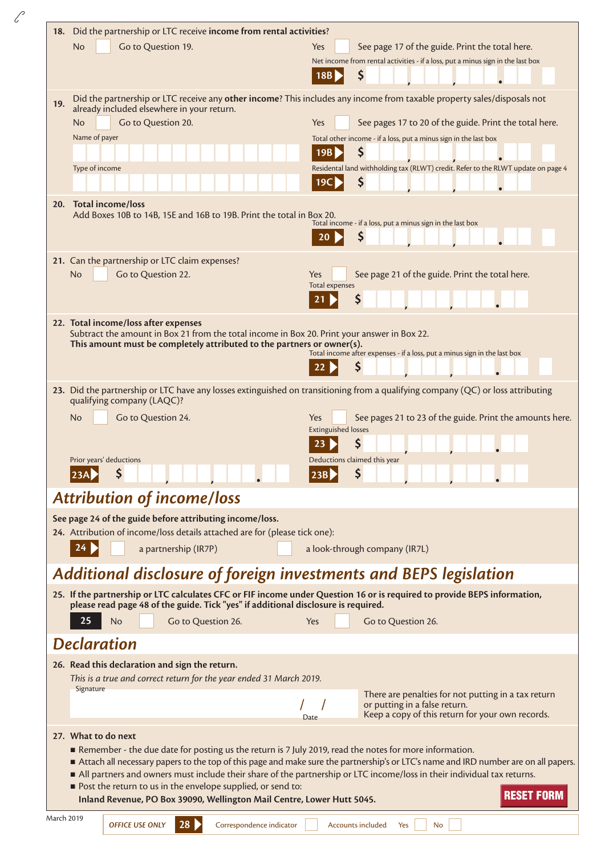| 18. Did the partnership or LTC receive income from rental activities?                                                                                                                                                                                          |                                                                                                                                     |                                   |                                                                                                                                 |  |  |  |
|----------------------------------------------------------------------------------------------------------------------------------------------------------------------------------------------------------------------------------------------------------------|-------------------------------------------------------------------------------------------------------------------------------------|-----------------------------------|---------------------------------------------------------------------------------------------------------------------------------|--|--|--|
|                                                                                                                                                                                                                                                                | <b>No</b><br>Go to Question 19.                                                                                                     | Yes                               | See page 17 of the guide. Print the total here.                                                                                 |  |  |  |
|                                                                                                                                                                                                                                                                |                                                                                                                                     | 18B                               | Net income from rental activities - if a loss, put a minus sign in the last box<br>\$                                           |  |  |  |
|                                                                                                                                                                                                                                                                |                                                                                                                                     |                                   |                                                                                                                                 |  |  |  |
| 19.                                                                                                                                                                                                                                                            | already included elsewhere in your return.                                                                                          |                                   | Did the partnership or LTC receive any other income? This includes any income from taxable property sales/disposals not         |  |  |  |
|                                                                                                                                                                                                                                                                | Go to Question 20.<br><b>No</b>                                                                                                     | Yes                               | See pages 17 to 20 of the guide. Print the total here.                                                                          |  |  |  |
|                                                                                                                                                                                                                                                                | Name of payer                                                                                                                       | 19B                               | Total other income - if a loss, put a minus sign in the last box<br>\$                                                          |  |  |  |
|                                                                                                                                                                                                                                                                | Type of income                                                                                                                      |                                   | Residental land withholding tax (RLWT) credit. Refer to the RLWT update on page 4                                               |  |  |  |
|                                                                                                                                                                                                                                                                |                                                                                                                                     | 19C                               | S                                                                                                                               |  |  |  |
|                                                                                                                                                                                                                                                                | 20. Total income/loss                                                                                                               |                                   |                                                                                                                                 |  |  |  |
|                                                                                                                                                                                                                                                                | Add Boxes 10B to 14B, 15E and 16B to 19B. Print the total in Box 20.                                                                |                                   | Total income - if a loss, put a minus sign in the last box                                                                      |  |  |  |
|                                                                                                                                                                                                                                                                |                                                                                                                                     |                                   | \$                                                                                                                              |  |  |  |
|                                                                                                                                                                                                                                                                | 21. Can the partnership or LTC claim expenses?                                                                                      |                                   |                                                                                                                                 |  |  |  |
|                                                                                                                                                                                                                                                                | Go to Question 22.<br>No                                                                                                            | Yes                               | See page 21 of the guide. Print the total here.                                                                                 |  |  |  |
|                                                                                                                                                                                                                                                                |                                                                                                                                     | <b>Total expenses</b><br>21       | \$                                                                                                                              |  |  |  |
|                                                                                                                                                                                                                                                                |                                                                                                                                     |                                   |                                                                                                                                 |  |  |  |
|                                                                                                                                                                                                                                                                | 22. Total income/loss after expenses<br>Subtract the amount in Box 21 from the total income in Box 20. Print your answer in Box 22. |                                   |                                                                                                                                 |  |  |  |
|                                                                                                                                                                                                                                                                | This amount must be completely attributed to the partners or owner(s).                                                              |                                   | Total income after expenses - if a loss, put a minus sign in the last box                                                       |  |  |  |
|                                                                                                                                                                                                                                                                |                                                                                                                                     |                                   | \$                                                                                                                              |  |  |  |
|                                                                                                                                                                                                                                                                |                                                                                                                                     |                                   | 23. Did the partnership or LTC have any losses extinguished on transitioning from a qualifying company (QC) or loss attributing |  |  |  |
|                                                                                                                                                                                                                                                                | qualifying company (LAQC)?                                                                                                          |                                   |                                                                                                                                 |  |  |  |
|                                                                                                                                                                                                                                                                | No<br>Go to Question 24.                                                                                                            | Yes<br><b>Extinguished losses</b> | See pages 21 to 23 of the guide. Print the amounts here.                                                                        |  |  |  |
|                                                                                                                                                                                                                                                                |                                                                                                                                     |                                   | \$                                                                                                                              |  |  |  |
|                                                                                                                                                                                                                                                                | Prior years' deductions                                                                                                             | Deductions claimed this year      |                                                                                                                                 |  |  |  |
|                                                                                                                                                                                                                                                                | 23A<br>$\sqrt{5}$                                                                                                                   | 23B<br><b>C</b>                   |                                                                                                                                 |  |  |  |
|                                                                                                                                                                                                                                                                | <b>Attribution of income/loss</b>                                                                                                   |                                   |                                                                                                                                 |  |  |  |
|                                                                                                                                                                                                                                                                | See page 24 of the guide before attributing income/loss.                                                                            |                                   |                                                                                                                                 |  |  |  |
|                                                                                                                                                                                                                                                                | 24. Attribution of income/loss details attached are for (please tick one):                                                          |                                   |                                                                                                                                 |  |  |  |
|                                                                                                                                                                                                                                                                | a partnership (IR7P)                                                                                                                |                                   | a look-through company (IR7L)                                                                                                   |  |  |  |
|                                                                                                                                                                                                                                                                | Additional disclosure of foreign investments and BEPS legislation                                                                   |                                   |                                                                                                                                 |  |  |  |
|                                                                                                                                                                                                                                                                | please read page 48 of the guide. Tick "yes" if additional disclosure is required.                                                  |                                   | 25. If the partnership or LTC calculates CFC or FIF income under Question 16 or is required to provide BEPS information,        |  |  |  |
|                                                                                                                                                                                                                                                                | 25<br>No<br>Go to Question 26.                                                                                                      | Yes                               | Go to Question 26.                                                                                                              |  |  |  |
|                                                                                                                                                                                                                                                                |                                                                                                                                     |                                   |                                                                                                                                 |  |  |  |
|                                                                                                                                                                                                                                                                | <b>Declaration</b>                                                                                                                  |                                   |                                                                                                                                 |  |  |  |
|                                                                                                                                                                                                                                                                | 26. Read this declaration and sign the return.<br>This is a true and correct return for the year ended 31 March 2019.               |                                   |                                                                                                                                 |  |  |  |
|                                                                                                                                                                                                                                                                | Signature                                                                                                                           |                                   | There are penalties for not putting in a tax return                                                                             |  |  |  |
|                                                                                                                                                                                                                                                                |                                                                                                                                     |                                   | or putting in a false return.<br>Keep a copy of this return for your own records.                                               |  |  |  |
|                                                                                                                                                                                                                                                                | 27. What to do next                                                                                                                 | Date                              |                                                                                                                                 |  |  |  |
| Remember - the due date for posting us the return is 7 July 2019, read the notes for more information.                                                                                                                                                         |                                                                                                                                     |                                   |                                                                                                                                 |  |  |  |
| Attach all necessary papers to the top of this page and make sure the partnership's or LTC's name and IRD number are on all papers.<br>All partners and owners must include their share of the partnership or LTC income/loss in their individual tax returns. |                                                                                                                                     |                                   |                                                                                                                                 |  |  |  |
|                                                                                                                                                                                                                                                                | Post the return to us in the envelope supplied, or send to:                                                                         |                                   |                                                                                                                                 |  |  |  |
|                                                                                                                                                                                                                                                                | <b>RESET FORM</b><br>Inland Revenue, PO Box 39090, Wellington Mail Centre, Lower Hutt 5045.                                         |                                   |                                                                                                                                 |  |  |  |
|                                                                                                                                                                                                                                                                | <b>March 2019</b><br>28<br><b>OFFICE USE ONLY</b><br>Correspondence indicator<br><b>Accounts included</b><br><b>No</b><br>Yes       |                                   |                                                                                                                                 |  |  |  |

 $\mathscr{C}$